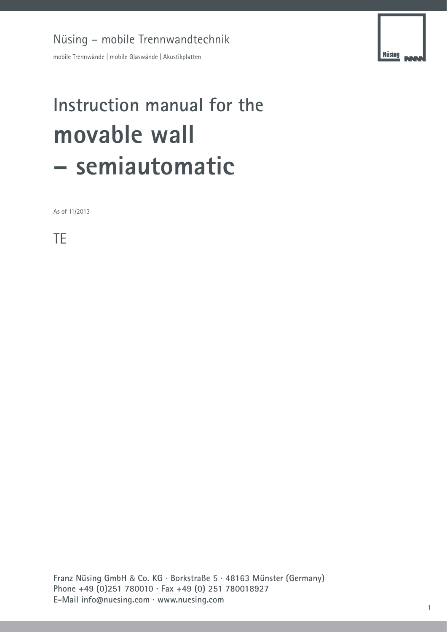mobile Trennwände | mobile Glaswände | Akustikplatten

# **Instruction manual for the movable wall – semiautomatic**

As of 11/2013

TE

**Franz Nüsing GmbH** & **Co. KG · Borkstraße 5 · 48163 Münster (Germany) Phone +49 (0)251 780010 · Fax +49 (0) 251 780018927 E-Mail info@nuesing.com · www.nuesing.com**

**Nüsing**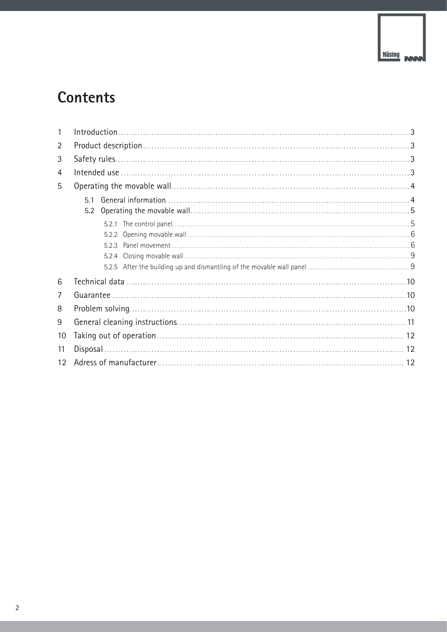## **Contents**

| 1               |    |  |
|-----------------|----|--|
| 2               |    |  |
| 3               |    |  |
| 4               |    |  |
| 5               |    |  |
|                 | 51 |  |
|                 |    |  |
|                 |    |  |
|                 |    |  |
|                 |    |  |
|                 |    |  |
|                 |    |  |
| 6               |    |  |
| 7               |    |  |
| 8               |    |  |
| 9               |    |  |
| 10              |    |  |
| 11              |    |  |
| 12 <sup>°</sup> |    |  |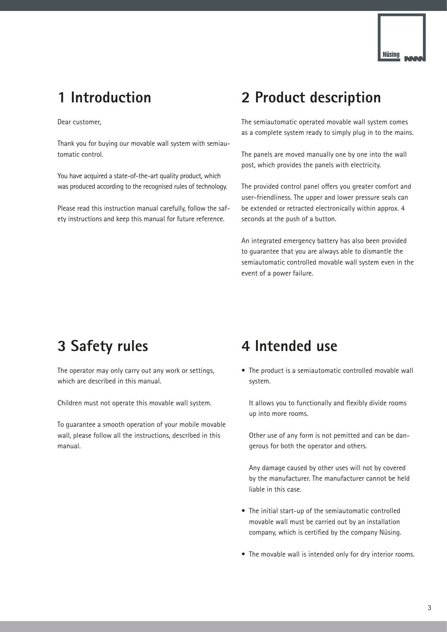

## **1 Introduction**

Dear customer,

Thank you for buying our movable wall system with semiautomatic control.

You have acquired a state-of-the-art quality product, which was produced according to the recognised rules of technology.

Please read this instruction manual carefully, follow the safety instructions and keep this manual for future reference.

## **2 Product description**

The semiautomatic operated movable wall system comes as a complete system ready to simply plug in to the mains.

The panels are moved manually one by one into the wall post, which provides the panels with electricity.

The provided control panel offers you greater comfort and user-friendliness. The upper and lower pressure seals can be extended or retracted electronically within approx. 4 seconds at the push of a button.

An integrated emergency battery has also been provided to guarantee that you are always able to dismantle the semiautomatic controlled movable wall system even in the event of a power failure.

## **3 Safety rules**

The operator may only carry out any work or settings, which are described in this manual.

Children must not operate this movable wall system.

To guarantee a smooth operation of your mobile movable wall, please follow all the instructions, described in this manual.

## **4 Intended use**

• The product is a semiautomatic controlled movable wall system.

It allows you to functionally and flexibly divide rooms up into more rooms.

Other use of any form is not pemitted and can be dangerous for both the operator and others.

Any damage caused by other uses will not by covered by the manufacturer. The manufacturer cannot be held liable in this case.

- The initial start-up of the semiautomatic controlled movable wall must be carried out by an installation company, which is certified by the company Nüsing.
- The movable wall is intended only for dry interior rooms.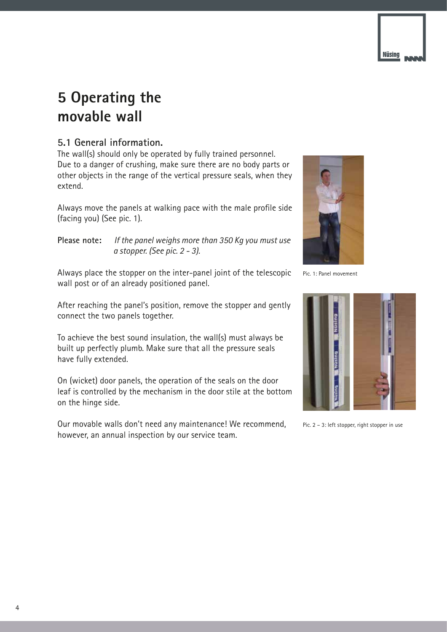

## **5 Operating the movable wall**

## **5.1 General information.**

The wall(s) should only be operated by fully trained personnel. Due to a danger of crushing, make sure there are no body parts or other objects in the range of the vertical pressure seals, when they extend.

Always move the panels at walking pace with the male profile side (facing you) (See pic. 1).

**Please note:** *If the panel weighs more than 350 Kg you must use a stopper. (See pic. 2 - 3).*

Always place the stopper on the inter-panel joint of the telescopic wall post or of an already positioned panel.

After reaching the panel's position, remove the stopper and gently connect the two panels together.

To achieve the best sound insulation, the wall(s) must always be built up perfectly plumb. Make sure that all the pressure seals have fully extended.

On (wicket) door panels, the operation of the seals on the door leaf is controlled by the mechanism in the door stile at the bottom on the hinge side.

Our movable walls don't need any maintenance! We recommend, however, an annual inspection by our service team.



Pic. 1: Panel movement



Pic. 2 – 3: left stopper, right stopper in use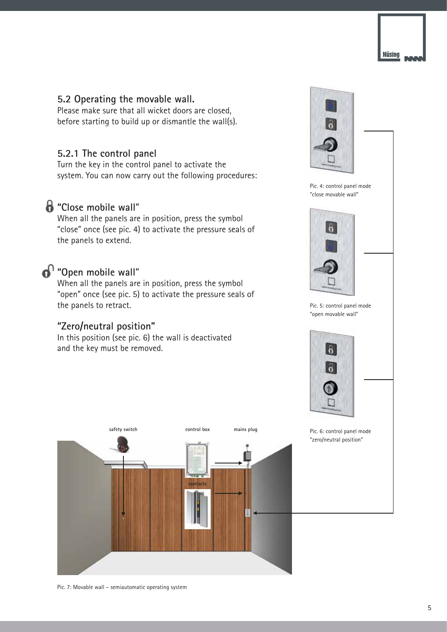

### **5.2 Operating the movable wall.**

Please make sure that all wicket doors are closed, before starting to build up or dismantle the wall(s).

## **5.2.1 The control panel**

Turn the key in the control panel to activate the system. You can now carry out the following procedures:

## **"Close mobile wall**"

When all the panels are in position, press the symbol "close" once (see pic. 4) to activate the pressure seals of the panels to extend.

## **<sup>1</sup>** "Open mobile wall"

When all the panels are in position, press the symbol "open" once (see pic. 5) to activate the pressure seals of the panels to retract.

## **"Zero/neutral position"**

In this position (see pic. 6) the wall is deactivated and the key must be removed.





Pic. 4: control panel mode "close movable wall"





Pic. 5: control panel mode "open movable wall"



Pic. 6: control panel mode "zero/neutral position"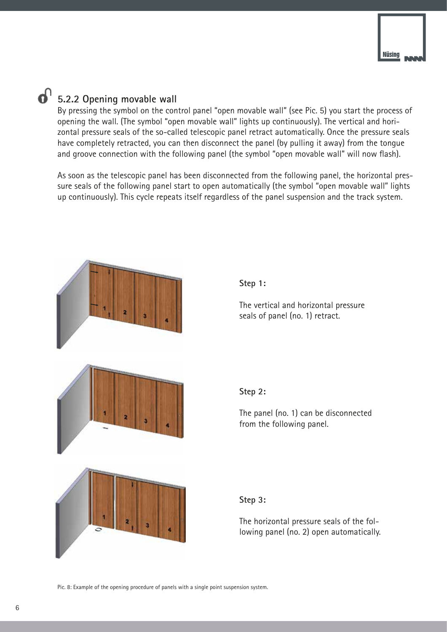### $\mathbf{a}^{\circ}$ **5.2.2 Opening movable wall**

By pressing the symbol on the control panel "open movable wall" (see Pic. 5) you start the process of opening the wall. (The symbol "open movable wall" lights up continuously). The vertical and horizontal pressure seals of the so-called telescopic panel retract automatically. Once the pressure seals have completely retracted, you can then disconnect the panel (by pulling it away) from the tongue and groove connection with the following panel (the symbol "open movable wall" will now flash).

As soon as the telescopic panel has been disconnected from the following panel, the horizontal pressure seals of the following panel start to open automatically (the symbol "open movable wall" lights up continuously). This cycle repeats itself regardless of the panel suspension and the track system.



Pic. 8: Example of the opening procedure of panels with a single point suspension system.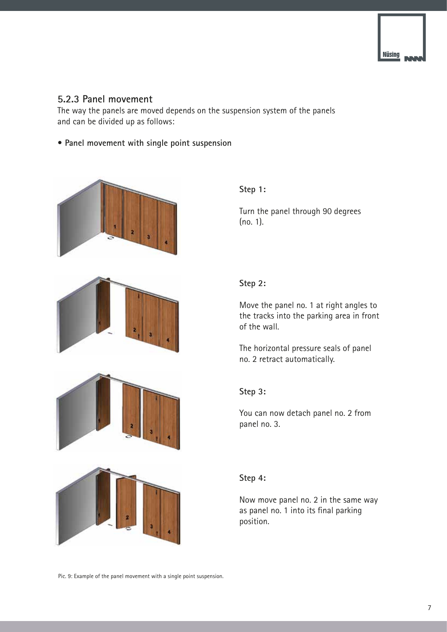

### **5.2.3 Panel movement**

The way the panels are moved depends on the suspension system of the panels and can be divided up as follows:

**• Panel movement with single point suspension**







**Step 1:**

Turn the panel through 90 degrees (no. 1).

### **Step 2:**

Move the panel no. 1 at right angles to the tracks into the parking area in front of the wall.

The horizontal pressure seals of panel no. 2 retract automatically.

### **Step 3:**

You can now detach panel no. 2 from panel no. 3.



### **Step 4:**

Now move panel no. 2 in the same way as panel no. 1 into its final parking position.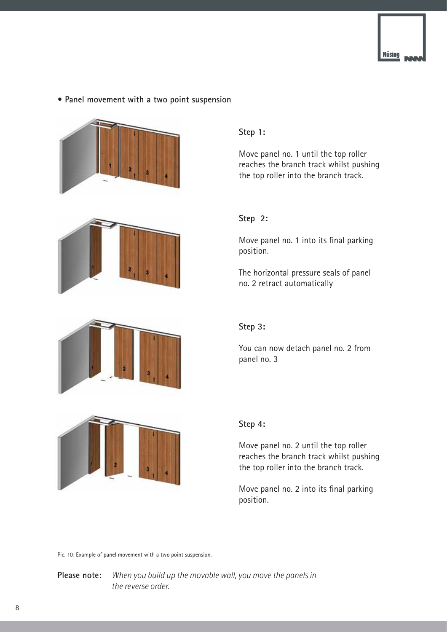

### **• Panel movement with a two point suspension**





### **Step 1:**

Move panel no. 1 until the top roller reaches the branch track whilst pushing the top roller into the branch track.

### **Step 2:**

Move panel no. 1 into its final parking position.

The horizontal pressure seals of panel no. 2 retract automatically



### **Step 3:**

You can now detach panel no. 2 from panel no. 3



### **Step 4:**

Move panel no. 2 until the top roller reaches the branch track whilst pushing the top roller into the branch track.

Move panel no. 2 into its final parking position.

Pic. 10: Example of panel movement with a two point suspension.

**Please note:** *When you build up the movable wall, you move the panels in the reverse order.*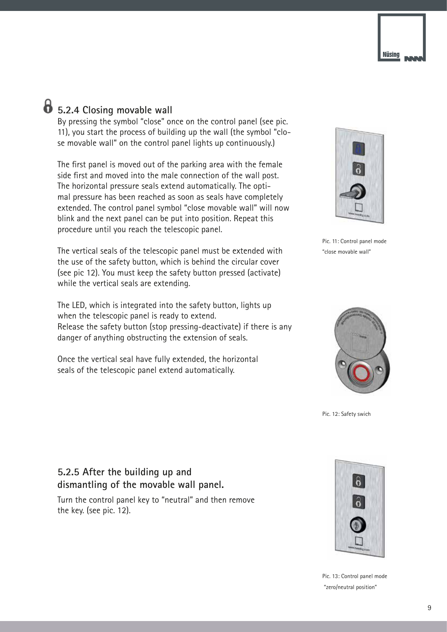

## **5.2.4 Closing movable wall**

By pressing the symbol "close" once on the control panel (see pic. 11), you start the process of building up the wall (the symbol "close movable wall" on the control panel lights up continuously.)

The first panel is moved out of the parking area with the female side first and moved into the male connection of the wall post. The horizontal pressure seals extend automatically. The optimal pressure has been reached as soon as seals have completely extended. The control panel symbol "close movable wall" will now blink and the next panel can be put into position. Repeat this procedure until you reach the telescopic panel.

The vertical seals of the telescopic panel must be extended with the use of the safety button, which is behind the circular cover (see pic 12). You must keep the safety button pressed (activate) while the vertical seals are extending.

The LED, which is integrated into the safety button, lights up when the telescopic panel is ready to extend. Release the safety button (stop pressing-deactivate) if there is any danger of anything obstructing the extension of seals.

Once the vertical seal have fully extended, the horizontal seals of the telescopic panel extend automatically.



Pic. 11: Control panel mode "close movable wall"



Pic. 12: Safety swich

## **5.2.5 After the building up and dismantling of the movable wall panel.**

Turn the control panel key to "neutral" and then remove the key. (see pic. 12).



Pic. 13: Control panel mode "zero/neutral position"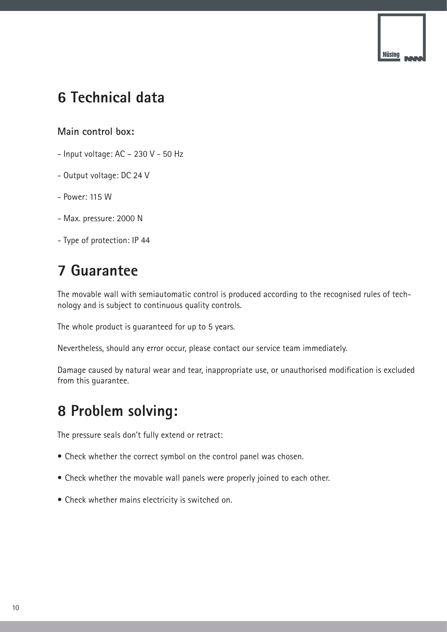

## **6 Technical data**

**Main control box:**

- Input voltage: AC 230 V 50 Hz
- Output voltage: DC 24 V
- Power: 115 W
- Max. pressure: 2000 N
- Type of protection: IP 44

## **7 Guarantee**

The movable wall with semiautomatic control is produced according to the recognised rules of technology and is subject to continuous quality controls.

The whole product is guaranteed for up to 5 years.

Nevertheless, should any error occur, please contact our service team immediately.

Damage caused by natural wear and tear, inappropriate use, or unauthorised modification is excluded from this guarantee.

## **8 Problem solving:**

The pressure seals don't fully extend or retract:

- Check whether the correct symbol on the control panel was chosen.
- Check whether the movable wall panels were properly joined to each other.
- Check whether mains electricity is switched on.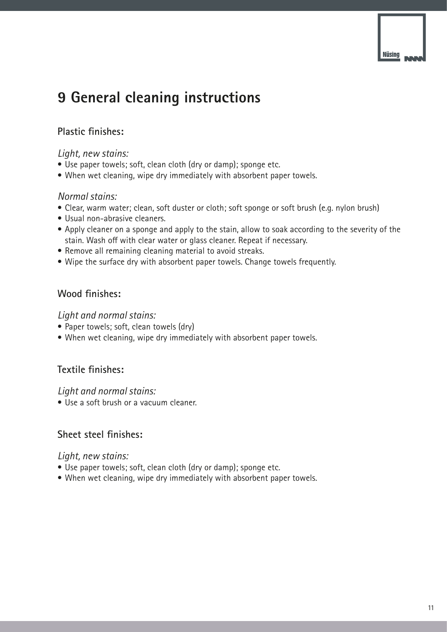## **9 General cleaning instructions**

## **Plastic finishes:**

## *Light, new stains:*

- Use paper towels; soft, clean cloth (dry or damp); sponge etc.
- When wet cleaning, wipe dry immediately with absorbent paper towels.

## *Normal stains:*

- Clear, warm water; clean, soft duster or cloth; soft sponge or soft brush (e.g. nylon brush)
- Usual non-abrasive cleaners.
- Apply cleaner on a sponge and apply to the stain, allow to soak according to the severity of the stain. Wash off with clear water or glass cleaner. Repeat if necessary.
- Remove all remaining cleaning material to avoid streaks.
- Wipe the surface dry with absorbent paper towels. Change towels frequently.

## **Wood finishes:**

### *Light and normal stains:*

- Paper towels; soft, clean towels (dry)
- When wet cleaning, wipe dry immediately with absorbent paper towels.

## **Textile finishes:**

### *Light and normal stains:*

• Use a soft brush or a vacuum cleaner.

## **Sheet steel finishes:**

### *Light, new stains:*

- Use paper towels; soft, clean cloth (dry or damp); sponge etc.
- When wet cleaning, wipe dry immediately with absorbent paper towels.